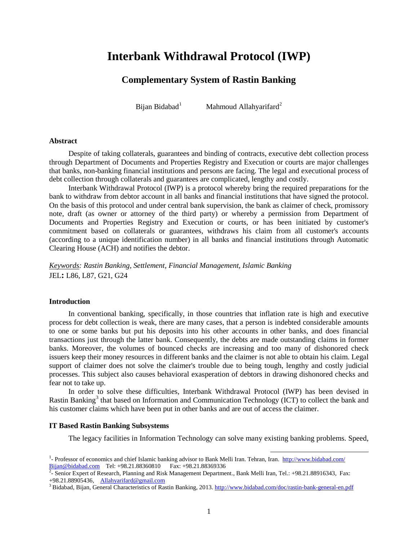# **Interbank Withdrawal Protocol (IWP)**

# **Complementary System of Rastin Banking**

Bijan Bidabad<sup>[1](#page-0-0)</sup>

Mahmoud Allahyarifard<sup>[2](#page-0-1)</sup>

#### **Abstract**

Despite of taking collaterals, guarantees and binding of contracts, executive debt collection process through Department of Documents and Properties Registry and Execution or courts are major challenges that banks, non-banking financial institutions and persons are facing. The legal and executional process of debt collection through collaterals and guarantees are complicated, lengthy and costly.

Interbank Withdrawal Protocol (IWP) is a protocol whereby bring the required preparations for the bank to withdraw from debtor account in all banks and financial institutions that have signed the protocol. On the basis of this protocol and under central bank supervision, the bank as claimer of check, promissory note, draft (as owner or attorney of the third party) or whereby a permission from Department of Documents and Properties Registry and Execution or courts, or has been initiated by customer's commitment based on collaterals or guarantees, withdraws his claim from all customer's accounts (according to a unique identification number) in all banks and financial institutions through Automatic Clearing House (ACH) and notifies the debtor.

*Keywords: Rastin Banking, Settlement, Financial Management, Islamic Banking*  JEL**:** L86, L87, G21, G24

#### **Introduction**

In conventional banking, specifically, in those countries that inflation rate is high and executive process for debt collection is weak, there are many cases, that a person is indebted considerable amounts to one or some banks but put his deposits into his other accounts in other banks, and does financial transactions just through the latter bank. Consequently, the debts are made outstanding claims in former banks. Moreover, the volumes of bounced checks are increasing and too many of dishonored check issuers keep their money resources in different banks and the claimer is not able to obtain his claim. Legal support of claimer does not solve the claimer's trouble due to being tough, lengthy and costly judicial processes. This subject also causes behavioral exasperation of debtors in drawing dishonored checks and fear not to take up.

In order to solve these difficulties, Interbank Withdrawal Protocol (IWP) has been devised in Rastin Banking<sup>3</sup> that based on Information and Communication Technology (ICT) to collect the bank and his customer claims which have been put in other banks and are out of access the claimer.

#### **IT Based Rastin Banking Subsystems**

The legacy facilities in Information Technology can solve many existing banking problems. Speed,

<span id="page-0-0"></span><sup>&</sup>lt;sup>1</sup> Professor of economics and chief Islamic banking advisor to Bank Melli Iran. Tehran, Iran.<http://www.bidabad.com/> [Bijan@bidabad.com](mailto:Bijan@bidabad.com) Tel: +98.21.88360810 Fax: +98.21.88369336<br><sup>2</sup>- Senior Expert of Research, Planning and Risk Management Department., Bank Melli Iran, Tel.: +98.21.88916343, Fax:

<span id="page-0-1"></span><sup>+98.21.88905436,</sup> [Allahyarifard@gmail.com](mailto:Allahyarifard@gmail.com) 3 Bidabad, Banking, 2013[. http://www.bidabad.com/doc/rastin-bank-general-en.pdf](http://www.bidabad.com/doc/rastin-bank-general-en.pdf)<br><sup>3</sup> Bidabad, Bijan, General Characteristics of Rastin Banking, 2013. http://www.bidabad.com/doc/rasti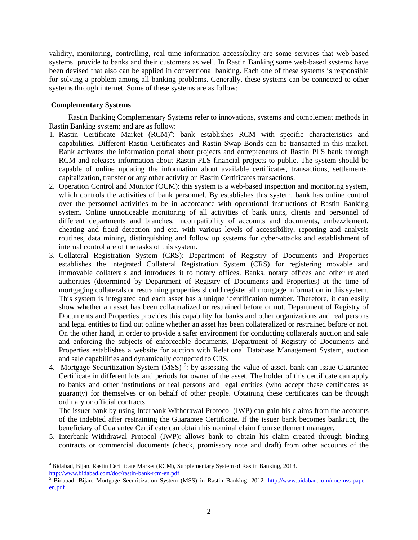validity, monitoring, controlling, real time information accessibility are some services that web-based systems provide to banks and their customers as well. In Rastin Banking some web-based systems have been devised that also can be applied in conventional banking. Each one of these systems is responsible for solving a problem among all banking problems. Generally, these systems can be connected to other systems through internet. Some of these systems are as follow:

## **Complementary Systems**

Rastin Banking Complementary Systems refer to innovations, systems and complement methods in Rastin Banking system; and are as follow:

- 1. Rastin Certificate Market (RCM)<sup>[4](#page-1-0)</sup>: bank establishes RCM with specific characteristics and capabilities. Different Rastin Certificates and Rastin Swap Bonds can be transacted in this market. Bank activates the information portal about projects and entrepreneurs of Rastin PLS bank through RCM and releases information about Rastin PLS financial projects to public. The system should be capable of online updating the information about available certificates, transactions, settlements, capitalization, transfer or any other activity on Rastin Certificates transactions.
- 2. Operation Control and Monitor (OCM): this system is a web-based inspection and monitoring system, which controls the activities of bank personnel. By establishes this system, bank has online control over the personnel activities to be in accordance with operational instructions of Rastin Banking system. Online unnoticeable monitoring of all activities of bank units, clients and personnel of different departments and branches, incompatibility of accounts and documents, embezzlement, cheating and fraud detection and etc. with various levels of accessibility, reporting and analysis routines, data mining, distinguishing and follow up systems for cyber-attacks and establishment of internal control are of the tasks of this system.
- 3. Collateral Registration System (CRS): Department of Registry of Documents and Properties establishes the integrated Collateral Registration System (CRS) for registering movable and immovable collaterals and introduces it to notary offices. Banks, notary offices and other related authorities (determined by Department of Registry of Documents and Properties) at the time of mortgaging collaterals or restraining properties should register all mortgage information in this system. This system is integrated and each asset has a unique identification number. Therefore, it can easily show whether an asset has been collateralized or restrained before or not. Department of Registry of Documents and Properties provides this capability for banks and other organizations and real persons and legal entities to find out online whether an asset has been collateralized or restrained before or not. On the other hand, in order to provide a safer environment for conducting collaterals auction and sale and enforcing the subjects of enforceable documents, Department of Registry of Documents and Properties establishes a website for auction with Relational Database Management System, auction and sale capabilities and dynamically connected to CRS.
- 4. Mortgage Securitization System (MSS)<sup>[5](#page-1-1)</sup>: by assessing the value of asset, bank can issue Guarantee Certificate in different lots and periods for owner of the asset. The holder of this certificate can apply to banks and other institutions or real persons and legal entities (who accept these certificates as guaranty) for themselves or on behalf of other people. Obtaining these certificates can be through ordinary or official contracts.

The issuer bank by using Interbank Withdrawal Protocol (IWP) can gain his claims from the accounts of the indebted after restraining the Guarantee Certificate. If the issuer bank becomes bankrupt, the beneficiary of Guarantee Certificate can obtain his nominal claim from settlement manager.

5. Interbank Withdrawal Protocol (IWP): allows bank to obtain his claim created through binding contracts or commercial documents (check, promissory note and draft) from other accounts of the

<span id="page-1-0"></span><sup>&</sup>lt;sup>4</sup> Bidabad, Bijan. Rastin Certificate Market (RCM), Supplementary System of Rastin Banking, 2013.<br>http://www.bidabad.com/doc/rastin-bank-rcm-en.pdf

<span id="page-1-1"></span> $\frac{1}{5}$  Bidabad, Bijan, Mortgage Securitization System (MSS) in Rastin Banking, 2012. [http://www.bidabad.com/doc/mss-paper](http://www.bidabad.com/doc/mss-paper-en.pdf)[en.pdf](http://www.bidabad.com/doc/mss-paper-en.pdf)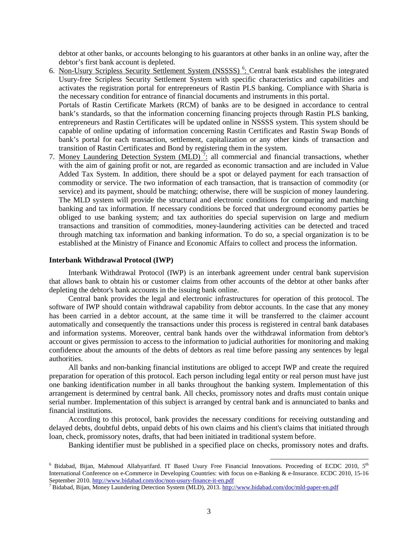debtor at other banks, or accounts belonging to his guarantors at other banks in an online way, after the debtor's first bank account is depleted.

[6](#page-2-0). Non-Usury Scripless Security Settlement System (NSSSS)<sup>6</sup>: Central bank establishes the integrated Usury-free Scripless Security Settlement System with specific characteristics and capabilities and activates the registration portal for entrepreneurs of Rastin PLS banking. Compliance with Sharia is the necessary condition for entrance of financial documents and instruments in this portal. Portals of Rastin Certificate Markets (RCM) of banks are to be designed in accordance to central bank's standards, so that the information concerning financing projects through Rastin PLS banking, entrepreneurs and Rastin Certificates will be updated online in NSSSS system. This system should be

capable of online updating of information concerning Rastin Certificates and Rastin Swap Bonds of bank's portal for each transaction, settlement, capitalization or any other kinds of transaction and transition of Rastin Certificates and Bond by registering them in the system.

[7](#page-2-1). Money Laundering Detection System  $(MLD)^7$ : all commercial and financial transactions, whether with the aim of gaining profit or not, are regarded as economic transaction and are included in Value Added Tax System. In addition, there should be a spot or delayed payment for each transaction of commodity or service. The two information of each transaction, that is transaction of commodity (or service) and its payment, should be matching; otherwise, there will be suspicion of money laundering. The MLD system will provide the structural and electronic conditions for comparing and matching banking and tax information. If necessary conditions be forced that underground economy parties be obliged to use banking system; and tax authorities do special supervision on large and medium transactions and transition of commodities, money-laundering activities can be detected and traced through matching tax information and banking information. To do so, a special organization is to be established at the Ministry of Finance and Economic Affairs to collect and process the information.

#### **Interbank Withdrawal Protocol (IWP)**

Interbank Withdrawal Protocol (IWP) is an interbank agreement under central bank supervision that allows bank to obtain his or customer claims from other accounts of the debtor at other banks after depleting the debtor's bank accounts in the issuing bank online.

Central bank provides the legal and electronic infrastructures for operation of this protocol. The software of IWP should contain withdrawal capability from debtor accounts. In the case that any money has been carried in a debtor account, at the same time it will be transferred to the claimer account automatically and consequently the transactions under this process is registered in central bank databases and information systems. Moreover, central bank hands over the withdrawal information from debtor's account or gives permission to access to the information to judicial authorities for monitoring and making confidence about the amounts of the debts of debtors as real time before passing any sentences by legal authorities.

All banks and non-banking financial institutions are obliged to accept IWP and create the required preparation for operation of this protocol. Each person including legal entity or real person must have just one banking identification number in all banks throughout the banking system. Implementation of this arrangement is determined by central bank. All checks, promissory notes and drafts must contain unique serial number. Implementation of this subject is arranged by central bank and is annunciated to banks and financial institutions.

According to this protocol, bank provides the necessary conditions for receiving outstanding and delayed debts, doubtful debts, unpaid debts of his own claims and his client's claims that initiated through loan, check, promissory notes, drafts, that had been initiated in traditional system before.

Banking identifier must be published in a specified place on checks, promissory notes and drafts.

<span id="page-2-0"></span> $6$  Bidabad, Bijan, Mahmoud Allahyarifard. IT Based Usury Free Financial Innovations. Proceeding of ECDC 2010,  $5<sup>th</sup>$ International Conference on e-Commerce in Developing Countries: with focus on e-Banking & e-Insurance. ECDC 2010, 15-16<br>September 2010. http://www.bidabad.com/doc/non-usury-finance-it-en.pdf

<span id="page-2-1"></span><sup>&</sup>lt;sup>7</sup> Bidabad, Bijan, Money Laundering Detection System (MLD), 2013[. http://www.bidabad.com/doc/mld-paper-en.pdf](http://www.bidabad.com/doc/mld-paper-en.pdf)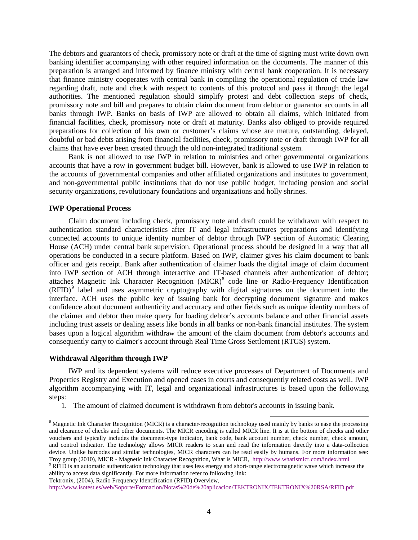The debtors and guarantors of check, promissory note or draft at the time of signing must write down own banking identifier accompanying with other required information on the documents. The manner of this preparation is arranged and informed by finance ministry with central bank cooperation. It is necessary that finance ministry cooperates with central bank in compiling the operational regulation of trade law regarding draft, note and check with respect to contents of this protocol and pass it through the legal authorities. The mentioned regulation should simplify protest and debt collection steps of check, promissory note and bill and prepares to obtain claim document from debtor or guarantor accounts in all banks through IWP. Banks on basis of IWP are allowed to obtain all claims, which initiated from financial facilities, check, promissory note or draft at maturity. Banks also obliged to provide required preparations for collection of his own or customer's claims whose are mature, outstanding, delayed, doubtful or bad debts arising from financial facilities, check, promissory note or draft through IWP for all claims that have ever been created through the old non-integrated traditional system.

Bank is not allowed to use IWP in relation to ministries and other governmental organizations accounts that have a row in government budget bill. However, bank is allowed to use IWP in relation to the accounts of governmental companies and other affiliated organizations and institutes to government, and non-governmental public institutions that do not use public budget, including pension and social security organizations, revolutionary foundations and organizations and holly shrines.

#### **IWP Operational Process**

Claim document including check, promissory note and draft could be withdrawn with respect to authentication standard characteristics after IT and legal infrastructures preparations and identifying connected accounts to unique identity number of debtor through IWP section of Automatic Clearing House (ACH) under central bank supervision. Operational process should be designed in a way that all operations be conducted in a secure platform. Based on IWP, claimer gives his claim document to bank officer and gets receipt. Bank after authentication of claimer loads the digital image of claim document into IWP section of ACH through interactive and IT-based channels after authentication of debtor; attaches Magnetic Ink Character Recognition (MICR)<sup>[8](#page-3-0)</sup> code line or Radio-Frequency Identification  $(RFID)^9$  $(RFID)^9$  label and uses asymmetric cryptography with digital signatures on the document into the interface. ACH uses the public key of issuing bank for decrypting document signature and makes confidence about document authenticity and accuracy and other fields such as unique identity numbers of the claimer and debtor then make query for loading debtor's accounts balance and other financial assets including trust assets or dealing assets like bonds in all banks or non-bank financial institutes. The system bases upon a logical algorithm withdraw the amount of the claim document from debtor's accounts and consequently carry to claimer's account through Real Time Gross Settlement (RTGS) system.

#### **Withdrawal Algorithm through IWP**

IWP and its dependent systems will reduce executive processes of Department of Documents and Properties Registry and Execution and opened cases in courts and consequently related costs as well. IWP algorithm accompanying with IT, legal and organizational infrastructures is based upon the following steps:

1. The amount of claimed document is withdrawn from debtor's accounts in issuing bank.

<span id="page-3-1"></span>ability to access data significantly. For more information refer to following link:

Tektronix, (2004), Radio Frequency Identification (RFID) Overview,

<http://www.isotest.es/web/Soporte/Formacion/Notas%20de%20aplicacion/TEKTRONIX/TEKTRONIX%20RSA/RFID.pdf>

<span id="page-3-0"></span><sup>&</sup>lt;sup>8</sup> Magnetic Ink Character Recognition (MICR) is a character-recognition technology used mainly by banks to ease the processing and clearance of checks and other documents. The MICR encoding is called MICR line. It is at the bottom of checks and other vouchers and typically includes the document-type indicator, bank code, bank account number, check number, check amount, and control indicator. The technology allows MICR readers to scan and read the information directly into a data-collection device. Unlike barcodes and similar technologies, MICR characters can be read easily by humans. For more information see: Troy group (2010), MICR - Magnetic Ink Character Recognition, What is MICR, <http://www.whatismicr.com/index.html> <sup>9</sup> RFID is an automatic authentication technology that uses less energy and short-range electromagnetic wave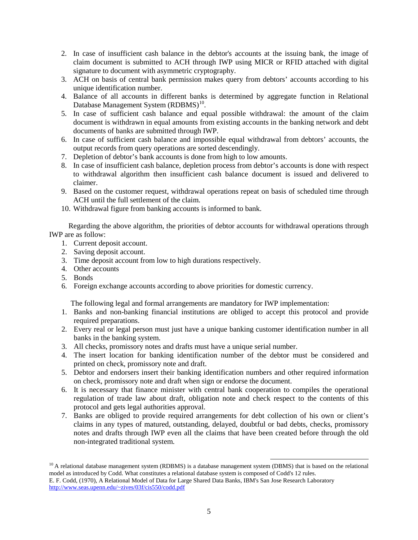- 2. In case of insufficient cash balance in the debtor's accounts at the issuing bank, the image of claim document is submitted to ACH through IWP using MICR or RFID attached with digital signature to document with asymmetric cryptography.
- 3. ACH on basis of central bank permission makes query from debtors' accounts according to his unique identification number.
- 4. Balance of all accounts in different banks is determined by aggregate function in Relational Database Management System (RDBMS)<sup>[10](#page-4-0)</sup>.
- 5. In case of sufficient cash balance and equal possible withdrawal: the amount of the claim document is withdrawn in equal amounts from existing accounts in the banking network and debt documents of banks are submitted through IWP.
- 6. In case of sufficient cash balance and impossible equal withdrawal from debtors' accounts, the output records from query operations are sorted descendingly.
- 7. Depletion of debtor's bank accounts is done from high to low amounts.
- 8. In case of insufficient cash balance, depletion process from debtor's accounts is done with respect to withdrawal algorithm then insufficient cash balance document is issued and delivered to claimer.
- 9. Based on the customer request, withdrawal operations repeat on basis of scheduled time through ACH until the full settlement of the claim.
- 10. Withdrawal figure from banking accounts is informed to bank.

Regarding the above algorithm, the priorities of debtor accounts for withdrawal operations through IWP are as follow:

- 1. Current deposit account.
- 2. Saving deposit account.
- 3. Time deposit account from low to high durations respectively.
- 4. Other accounts
- 5. Bonds
- 6. Foreign exchange accounts according to above priorities for domestic currency.

The following legal and formal arrangements are mandatory for IWP implementation:

- 1. Banks and non-banking financial institutions are obliged to accept this protocol and provide required preparations.
- 2. Every real or legal person must just have a unique banking customer identification number in all banks in the banking system.
- 3. All checks, promissory notes and drafts must have a unique serial number.
- 4. The insert location for banking identification number of the debtor must be considered and printed on check, promissory note and draft.
- 5. Debtor and endorsers insert their banking identification numbers and other required information on check, promissory note and draft when sign or endorse the document.
- 6. It is necessary that finance minister with central bank cooperation to compiles the operational regulation of trade law about draft, obligation note and check respect to the contents of this protocol and gets legal authorities approval.
- 7. Banks are obliged to provide required arrangements for debt collection of his own or client's claims in any types of matured, outstanding, delayed, doubtful or bad debts, checks, promissory notes and drafts through IWP even all the claims that have been created before through the old non-integrated traditional system.

<span id="page-4-0"></span> $10$  A relational database management system (RDBMS) is a database management system (DBMS) that is based on the relational model as introduced by Codd. What constitutes a relational database system is composed of Codd's 12 rules.

E. F. Codd, (1970), A Relational Model of Data for Large Shared Data Banks, IBM's San Jose Research Laboratory <http://www.seas.upenn.edu/~zives/03f/cis550/codd.pdf>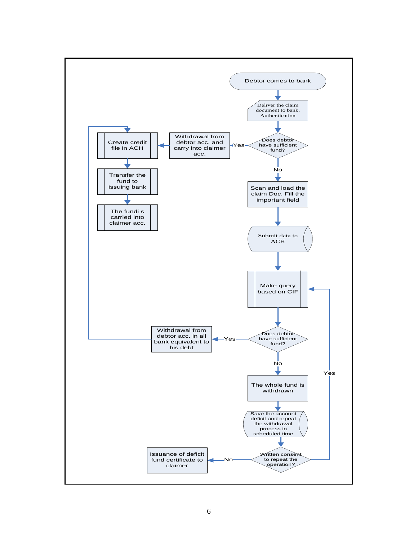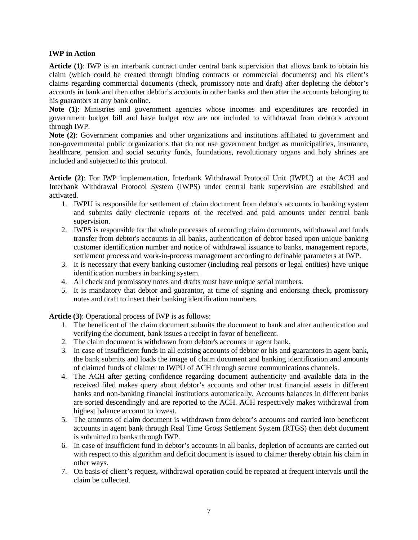### **IWP in Action**

**Article (1)**: IWP is an interbank contract under central bank supervision that allows bank to obtain his claim (which could be created through binding contracts or commercial documents) and his client's claims regarding commercial documents (check, promissory note and draft) after depleting the debtor's accounts in bank and then other debtor's accounts in other banks and then after the accounts belonging to his guarantors at any bank online.

Note (1): Ministries and government agencies whose incomes and expenditures are recorded in government budget bill and have budget row are not included to withdrawal from debtor's account through IWP.

**Note (2)**: Government companies and other organizations and institutions affiliated to government and non-governmental public organizations that do not use government budget as municipalities, insurance, healthcare, pension and social security funds, foundations, revolutionary organs and holy shrines are included and subjected to this protocol.

**Article (2)**: For IWP implementation, Interbank Withdrawal Protocol Unit (IWPU) at the ACH and Interbank Withdrawal Protocol System (IWPS) under central bank supervision are established and activated.

- 1. IWPU is responsible for settlement of claim document from debtor's accounts in banking system and submits daily electronic reports of the received and paid amounts under central bank supervision.
- 2. IWPS is responsible for the whole processes of recording claim documents, withdrawal and funds transfer from debtor's accounts in all banks, authentication of debtor based upon unique banking customer identification number and notice of withdrawal issuance to banks, management reports, settlement process and work-in-process management according to definable parameters at IWP.
- 3. It is necessary that every banking customer (including real persons or legal entities) have unique identification numbers in banking system.
- 4. All check and promissory notes and drafts must have unique serial numbers.
- 5. It is mandatory that debtor and guarantor, at time of signing and endorsing check, promissory notes and draft to insert their banking identification numbers.

**Article (3)**: Operational process of IWP is as follows:

- 1. The beneficent of the claim document submits the document to bank and after authentication and verifying the document, bank issues a receipt in favor of beneficent.
- 2. The claim document is withdrawn from debtor's accounts in agent bank.
- 3. In case of insufficient funds in all existing accounts of debtor or his and guarantors in agent bank, the bank submits and loads the image of claim document and banking identification and amounts of claimed funds of claimer to IWPU of ACH through secure communications channels.
- 4. The ACH after getting confidence regarding document authenticity and available data in the received filed makes query about debtor's accounts and other trust financial assets in different banks and non-banking financial institutions automatically. Accounts balances in different banks are sorted descendingly and are reported to the ACH. ACH respectively makes withdrawal from highest balance account to lowest.
- 5. The amounts of claim document is withdrawn from debtor's accounts and carried into beneficent accounts in agent bank through Real Time Gross Settlement System (RTGS) then debt document is submitted to banks through IWP.
- 6. In case of insufficient fund in debtor's accounts in all banks, depletion of accounts are carried out with respect to this algorithm and deficit document is issued to claimer thereby obtain his claim in other ways.
- 7. On basis of client's request, withdrawal operation could be repeated at frequent intervals until the claim be collected.